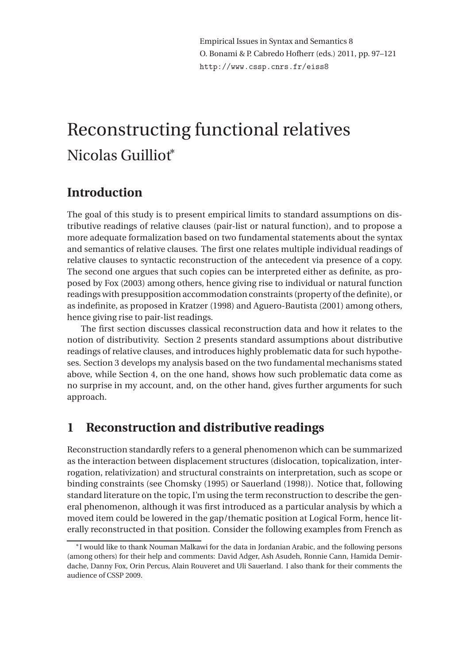Empirical Issues in Syntax and Semantics 8 O. Bonami & P. Cabredo Hofherr (eds.) 2011, pp. 97–121 http://www.cssp.cnrs.fr/eiss8

# Reconstructing functional relatives Nicolas Guilliot<sup>∗</sup>

# **Introduction**

The goal of this study is to present empirical limits to standard assumptions on distributive readings of relative clauses (pair-list or natural function), and to propose a more adequate formalization based on two fundamental statements about the syntax and semantics of relative clauses. The first one relates multiple individual readings of relative clauses to syntactic reconstruction of the antecedent via presence of a copy. The second one argues that such copies can be interpreted either as definite, as proposed by Fox (2003) among others, hence giving rise to individual or natural function readings with presupposition accommodation constraints (property of the definite), or as indefinite, as proposed in Kratzer (1998) and Aguero-Bautista (2001) among others, hence giving rise to pair-list readings.

The first section discusses classical reconstruction data and how it relates to the notion of distributivity. Section 2 presents standard assumptions about distributive readings of relative clauses, and introduces highly problematic data for such hypotheses. Section 3 develops my analysis based on the two fundamental mechanisms stated above, while Section 4, on the one hand, shows how such problematic data come as no surprise in my account, and, on the other hand, gives further arguments for such approach.

# **1 Reconstruction and distributive readings**

Reconstruction standardly refers to a general phenomenon which can be summarized as the interaction between displacement structures (dislocation, topicalization, interrogation, relativization) and structural constraints on interpretation, such as scope or binding constraints (see Chomsky (1995) or Sauerland (1998)). Notice that, following standard literature on the topic, I'm using the term reconstruction to describe the general phenomenon, although it was first introduced as a particular analysis by which a moved item could be lowered in the gap/thematic position at Logical Form, hence literally reconstructed in that position. Consider the following examples from French as

<sup>∗</sup> I would like to thank Nouman Malkawi for the data in Jordanian Arabic, and the following persons (among others) for their help and comments: David Adger, Ash Asudeh, Ronnie Cann, Hamida Demirdache, Danny Fox, Orin Percus, Alain Rouveret and Uli Sauerland. I also thank for their comments the audience of CSSP 2009.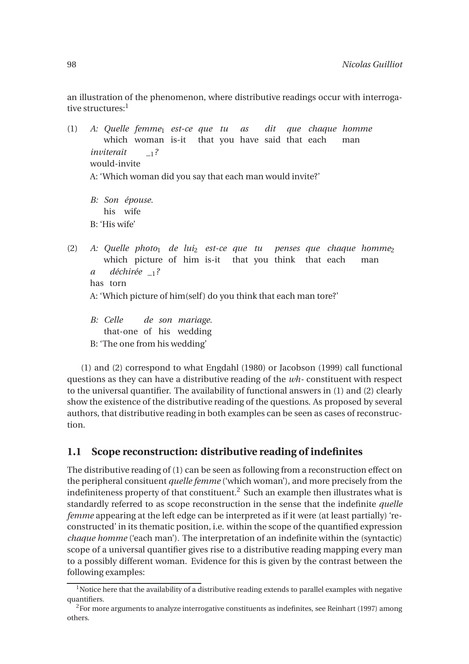an illustration of the phenomenon, where distributive readings occur with interrogative structures:<sup>1</sup>

(1) *A: Quelle femme*<sup>1</sup> *est-ce que tu* which woman is-it that you have said that each *as dit que chaque homme* man *inviterait* would-invite *\_*1*?* A: 'Which woman did you say that each man would invite?'

*B: Son épouse.* his wife B: 'His wife'

- (2) *A: Quelle photo*<sup>1</sup> *de lui*<sup>2</sup> *est-ce que tu* which picture of him is-it that you think that each *penses que chaque homme*<sup>2</sup> man *a* has torn *déchirée \_*1*?* A: 'Which picture of him(self) do you think that each man tore?'
	- *B: Celle* that-one of his wedding *de son mariage.* B: 'The one from his wedding'

(1) and (2) correspond to what Engdahl (1980) or Jacobson (1999) call functional questions as they can have a distributive reading of the *wh-* constituent with respect to the universal quantifier. The availability of functional answers in (1) and (2) clearly show the existence of the distributive reading of the questions. As proposed by several authors, that distributive reading in both examples can be seen as cases of reconstruction.

### **1.1 Scope reconstruction: distributive reading of indefinites**

The distributive reading of (1) can be seen as following from a reconstruction effect on the peripheral consituent *quelle femme* ('which woman'), and more precisely from the indefiniteness property of that constituent.<sup>2</sup> Such an example then illustrates what is standardly referred to as scope reconstruction in the sense that the indefinite *quelle femme* appearing at the left edge can be interpreted as if it were (at least partially) 'reconstructed' in its thematic position, i.e. within the scope of the quantified expression *chaque homme* ('each man'). The interpretation of an indefinite within the (syntactic) scope of a universal quantifier gives rise to a distributive reading mapping every man to a possibly different woman. Evidence for this is given by the contrast between the following examples:

<sup>&</sup>lt;sup>1</sup>Notice here that the availability of a distributive reading extends to parallel examples with negative quantifiers.

 ${}^{2}$ For more arguments to analyze interrogative constituents as indefinites, see Reinhart (1997) among others.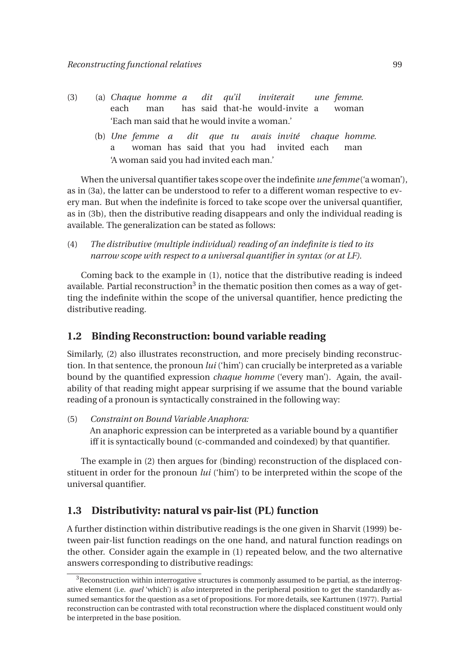- (3) (a) *Chaque homme a* each man has said that-he would-invite a *dit qu'il inviterait une femme.* woman 'Each man said that he would invite a woman.'
	- (b) *Une femme a* a woman has said that you had invited each *dit que tu avais invité chaque homme.* man 'A woman said you had invited each man.'

When the universal quantifier takes scope over the indefinite *une femme* ('a woman'), as in (3a), the latter can be understood to refer to a different woman respective to every man. But when the indefinite is forced to take scope over the universal quantifier, as in (3b), then the distributive reading disappears and only the individual reading is available. The generalization can be stated as follows:

(4) *The distributive (multiple individual) reading of an indefinite is tied to its narrow scope with respect to a universal quantifier in syntax (or at LF).*

Coming back to the example in (1), notice that the distributive reading is indeed available. Partial reconstruction $^3$  in the thematic position then comes as a way of getting the indefinite within the scope of the universal quantifier, hence predicting the distributive reading.

#### **1.2 Binding Reconstruction: bound variable reading**

Similarly, (2) also illustrates reconstruction, and more precisely binding reconstruction. In that sentence, the pronoun *lui* ('him') can crucially be interpreted as a variable bound by the quantified expression *chaque homme* ('every man'). Again, the availability of that reading might appear surprising if we assume that the bound variable reading of a pronoun is syntactically constrained in the following way:

(5) *Constraint on Bound Variable Anaphora:*

An anaphoric expression can be interpreted as a variable bound by a quantifier iff it is syntactically bound (c-commanded and coindexed) by that quantifier.

The example in (2) then argues for (binding) reconstruction of the displaced constituent in order for the pronoun *lui* ('him') to be interpreted within the scope of the universal quantifier.

#### **1.3 Distributivity: natural vs pair-list (PL) function**

A further distinction within distributive readings is the one given in Sharvit (1999) between pair-list function readings on the one hand, and natural function readings on the other. Consider again the example in (1) repeated below, and the two alternative answers corresponding to distributive readings:

 $3$ Reconstruction within interrogative structures is commonly assumed to be partial, as the interrogative element (i.e. *quel* 'which') is *also* interpreted in the peripheral position to get the standardly assumed semantics for the question as a set of propositions. For more details, see Karttunen (1977). Partial reconstruction can be contrasted with total reconstruction where the displaced constituent would only be interpreted in the base position.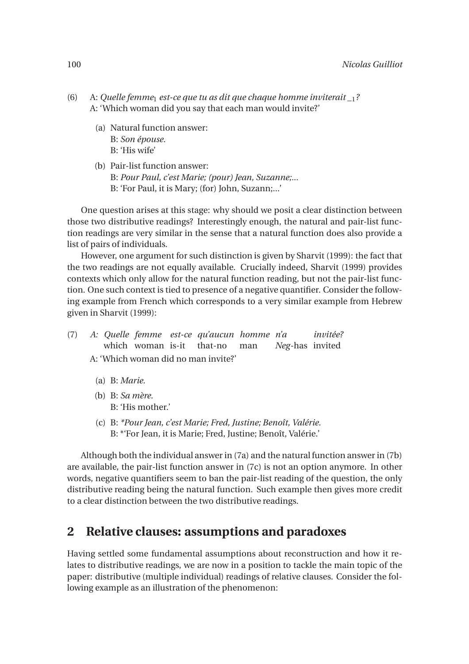- (6) A: *Quelle femme*<sup>1</sup> *est-ce que tu as dit que chaque homme inviterait \_*1*?* A: 'Which woman did you say that each man would invite?'
	- (a) Natural function answer: B: *Son épouse.* B: 'His wife'
	- (b) Pair-list function answer: B: *Pour Paul, c'est Marie; (pour) Jean, Suzanne;...* B: 'For Paul, it is Mary; (for) John, Suzann;...'

One question arises at this stage: why should we posit a clear distinction between those two distributive readings? Interestingly enough, the natural and pair-list function readings are very similar in the sense that a natural function does also provide a list of pairs of individuals.

However, one argument for such distinction is given by Sharvit (1999): the fact that the two readings are not equally available. Crucially indeed, Sharvit (1999) provides contexts which only allow for the natural function reading, but not the pair-list function. One such context is tied to presence of a negative quantifier. Consider the following example from French which corresponds to a very similar example from Hebrew given in Sharvit (1999):

- (7) *A: Quelle femme est-ce qu'aucun homme n'a* which woman is-it that-no man *Neg*-has invited *invitée?* A: 'Which woman did no man invite?'
	- (a) B: *Marie.*
	- (b) B: *Sa mère.* B: 'His mother.'
	- (c) B: *\*Pour Jean, c'est Marie; Fred, Justine; Benoît, Valérie.* B: \*'For Jean, it is Marie; Fred, Justine; Benoît, Valérie.'

Although both the individual answer in (7a) and the natural function answer in (7b) are available, the pair-list function answer in (7c) is not an option anymore. In other words, negative quantifiers seem to ban the pair-list reading of the question, the only distributive reading being the natural function. Such example then gives more credit to a clear distinction between the two distributive readings.

# **2 Relative clauses: assumptions and paradoxes**

Having settled some fundamental assumptions about reconstruction and how it relates to distributive readings, we are now in a position to tackle the main topic of the paper: distributive (multiple individual) readings of relative clauses. Consider the following example as an illustration of the phenomenon: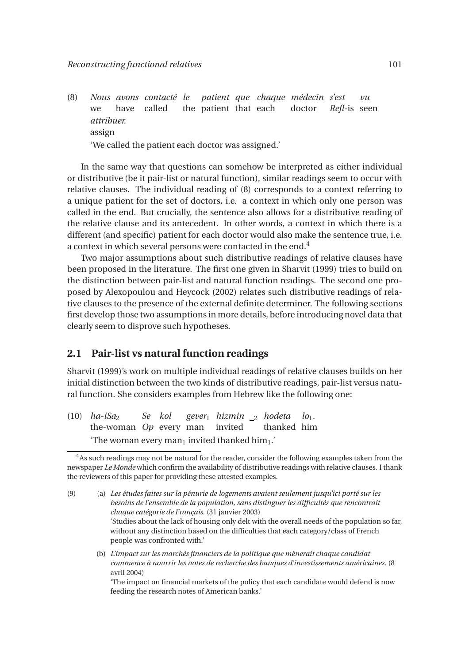(8) *Nous avons contacté le* we have called the patient that each *patient que chaque médecin s'est* doctor *Refl*-is seen *vu attribuer.* assign 'We called the patient each doctor was assigned.'

In the same way that questions can somehow be interpreted as either individual or distributive (be it pair-list or natural function), similar readings seem to occur with relative clauses. The individual reading of (8) corresponds to a context referring to a unique patient for the set of doctors, i.e. a context in which only one person was called in the end. But crucially, the sentence also allows for a distributive reading of the relative clause and its antecedent. In other words, a context in which there is a different (and specific) patient for each doctor would also make the sentence true, i.e. a context in which several persons were contacted in the end.<sup>4</sup>

Two major assumptions about such distributive readings of relative clauses have been proposed in the literature. The first one given in Sharvit (1999) tries to build on the distinction between pair-list and natural function readings. The second one proposed by Alexopoulou and Heycock (2002) relates such distributive readings of relative clauses to the presence of the external definite determiner. The following sections first develop those two assumptions in more details, before introducing novel data that clearly seem to disprove such hypotheses.

#### **2.1 Pair-list vs natural function readings**

Sharvit (1999)'s work on multiple individual readings of relative clauses builds on her initial distinction between the two kinds of distributive readings, pair-list versus natural function. She considers examples from Hebrew like the following one:

 $(10)$  *ha-iSa*<sub>2</sub> the-woman *Op* every man *Se kol gever*<sup>1</sup> *hizmin* <sup>2</sup> *hodeta lo*1*.* invited thanked him 'The woman every man<sub>1</sub> invited thanked him<sub>1</sub>.'

(b) *L'impact sur les marchés financiers de la politique que mènerait chaque candidat commence à nourrir les notes de recherche des banques d'investissements américaines.* (8 avril 2004)

'The impact on financial markets of the policy that each candidate would defend is now feeding the research notes of American banks.'

<sup>&</sup>lt;sup>4</sup>As such readings may not be natural for the reader, consider the following examples taken from the newspaper *Le Monde* which confirm the availability of distributive readings with relative clauses. I thank the reviewers of this paper for providing these attested examples.

<sup>(9) (</sup>a) *Les études faites sur la pénurie de logements avaient seulement jusqu'ici porté sur les besoins de l'ensemble de la population, sans distinguer les difficultés que rencontrait chaque catégorie de Français.* (31 janvier 2003) 'Studies about the lack of housing only delt with the overall needs of the population so far, without any distinction based on the difficulties that each category/class of French people was confronted with.'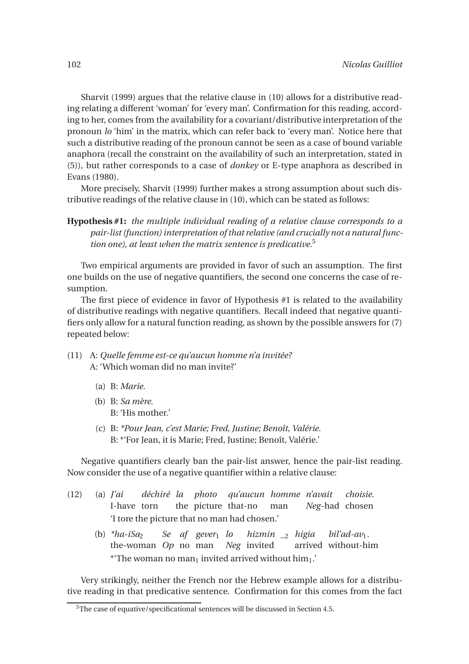Sharvit (1999) argues that the relative clause in (10) allows for a distributive reading relating a different 'woman' for 'every man'. Confirmation for this reading, according to her, comes from the availability for a covariant/distributive interpretation of the pronoun *lo* 'him' in the matrix, which can refer back to 'every man'. Notice here that such a distributive reading of the pronoun cannot be seen as a case of bound variable anaphora (recall the constraint on the availability of such an interpretation, stated in (5)), but rather corresponds to a case of *donkey* or E-type anaphora as described in Evans (1980).

More precisely, Sharvit (1999) further makes a strong assumption about such distributive readings of the relative clause in (10), which can be stated as follows:

**Hypothesis #1:** *the multiple individual reading of a relative clause corresponds to a pair-list (function) interpretation of that relative (and crucially not a natural function one), at least when the matrix sentence is predicative.*<sup>5</sup>

Two empirical arguments are provided in favor of such an assumption. The first one builds on the use of negative quantifiers, the second one concerns the case of resumption.

The first piece of evidence in favor of Hypothesis #1 is related to the availability of distributive readings with negative quantifiers. Recall indeed that negative quantifiers only allow for a natural function reading, as shown by the possible answers for (7) repeated below:

- (11) A: *Quelle femme est-ce qu'aucun homme n'a invitée?* A: 'Which woman did no man invite?'
	- (a) B: *Marie.*
	- (b) B: *Sa mère.* B: 'His mother.'
	- (c) B: *\*Pour Jean, c'est Marie; Fred, Justine; Benoît, Valérie.* B: \*'For Jean, it is Marie; Fred, Justine; Benoît, Valérie.'

Negative quantifiers clearly ban the pair-list answer, hence the pair-list reading. Now consider the use of a negative quantifier within a relative clause:

- (12) (a) *J'ai* I-have torn *déchiré la photo* the picture that-no *qu'aucun homme n'avait* man *Neg*-had chosen *choisie.* 'I tore the picture that no man had chosen.'
	- (b)  $*ha-iSa<sub>2</sub>$ the-woman *Op* no man *Neg* invited *Se af gever*<sup>1</sup> *lo hizmin \_*<sup>2</sup> *higia* arrived without-him  $bil'ad-av_1$ . \*'The woman no man<sub>1</sub> invited arrived without him<sub>1</sub>.'

Very strikingly, neither the French nor the Hebrew example allows for a distributive reading in that predicative sentence. Confirmation for this comes from the fact

<sup>&</sup>lt;sup>5</sup>The case of equative/specificational sentences will be discussed in Section 4.5.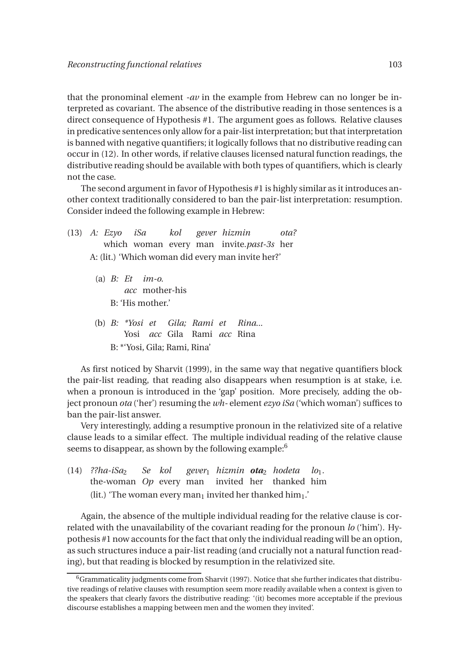that the pronominal element *-av* in the example from Hebrew can no longer be interpreted as covariant. The absence of the distributive reading in those sentences is a direct consequence of Hypothesis #1. The argument goes as follows. Relative clauses in predicative sentences only allow for a pair-list interpretation; but that interpretation is banned with negative quantifiers; it logically follows that no distributive reading can occur in (12). In other words, if relative clauses licensed natural function readings, the distributive reading should be available with both types of quantifiers, which is clearly not the case.

The second argument in favor of Hypothesis #1 is highly similar as it introduces another context traditionally considered to ban the pair-list interpretation: resumption. Consider indeed the following example in Hebrew:

- (13) *A: Ezyo* which woman every man invite.*past-3s* her *iSa kol gever hizmin ota?* A: (lit.) 'Which woman did every man invite her?'
	- (a) *B: Et im-o. acc* mother-his B: 'His mother.'
	- (b) *B: \*Yosi et Gila; Rami et* Yosi *acc* Gila Rami *acc* Rina *Rina...* B: \*'Yosi, Gila; Rami, Rina'

As first noticed by Sharvit (1999), in the same way that negative quantifiers block the pair-list reading, that reading also disappears when resumption is at stake, i.e. when a pronoun is introduced in the 'gap' position. More precisely, adding the object pronoun *ota* ('her') resuming the *wh-* element *ezyo iSa* ('which woman') suffices to ban the pair-list answer.

Very interestingly, adding a resumptive pronoun in the relativized site of a relative clause leads to a similar effect. The multiple individual reading of the relative clause seems to disappear, as shown by the following example: $6$ 

 $(14)$  ??*ha-iSa*<sub>2</sub> the-woman *Op* every man *Se kol gever*<sup>1</sup> *hizmin ota*<sup>2</sup> *hodeta* invited her thanked him  $l_{01}$ . (lit.) 'The woman every man<sub>1</sub> invited her thanked him<sub>1</sub>.'

Again, the absence of the multiple individual reading for the relative clause is correlated with the unavailability of the covariant reading for the pronoun *lo* ('him'). Hypothesis #1 now accounts for the fact that only the individual reading will be an option, as such structures induce a pair-list reading (and crucially not a natural function reading), but that reading is blocked by resumption in the relativized site.

 $6$ Grammaticality judgments come from Sharvit (1997). Notice that she further indicates that distributive readings of relative clauses with resumption seem more readily available when a context is given to the speakers that clearly favors the distributive reading: '(it) becomes more acceptable if the previous discourse establishes a mapping between men and the women they invited'.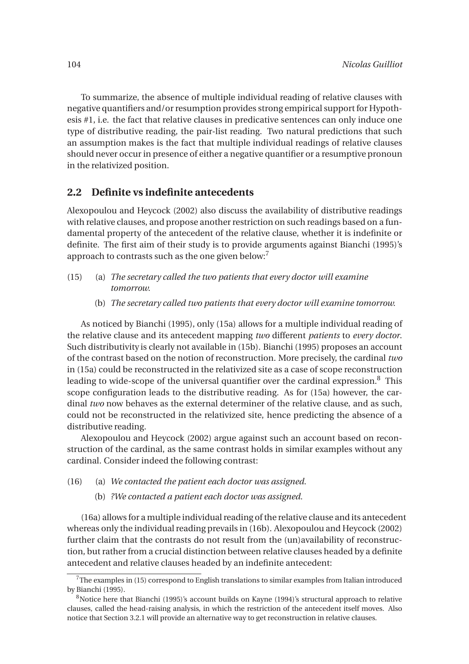To summarize, the absence of multiple individual reading of relative clauses with negative quantifiers and/or resumption provides strong empirical support for Hypothesis #1, i.e. the fact that relative clauses in predicative sentences can only induce one type of distributive reading, the pair-list reading. Two natural predictions that such an assumption makes is the fact that multiple individual readings of relative clauses should never occur in presence of either a negative quantifier or a resumptive pronoun in the relativized position.

#### **2.2 Definite vs indefinite antecedents**

Alexopoulou and Heycock (2002) also discuss the availability of distributive readings with relative clauses, and propose another restriction on such readings based on a fundamental property of the antecedent of the relative clause, whether it is indefinite or definite. The first aim of their study is to provide arguments against Bianchi (1995)'s approach to contrasts such as the one given below: $^7$ 

- (15) (a) *The secretary called the two patients that every doctor will examine tomorrow.*
	- (b) *The secretary called two patients that every doctor will examine tomorrow.*

As noticed by Bianchi (1995), only (15a) allows for a multiple individual reading of the relative clause and its antecedent mapping *two* different *patients* to *every doctor*. Such distributivity is clearly not available in (15b). Bianchi (1995) proposes an account of the contrast based on the notion of reconstruction. More precisely, the cardinal *two* in (15a) could be reconstructed in the relativized site as a case of scope reconstruction leading to wide-scope of the universal quantifier over the cardinal expression. $8$  This scope configuration leads to the distributive reading. As for (15a) however, the cardinal *two* now behaves as the external determiner of the relative clause, and as such, could not be reconstructed in the relativized site, hence predicting the absence of a distributive reading.

Alexopoulou and Heycock (2002) argue against such an account based on reconstruction of the cardinal, as the same contrast holds in similar examples without any cardinal. Consider indeed the following contrast:

- (16) (a) *We contacted the patient each doctor was assigned.*
	- (b) *?We contacted a patient each doctor was assigned.*

(16a) allows for a multiple individual reading of the relative clause and its antecedent whereas only the individual reading prevails in (16b). Alexopoulou and Heycock (2002) further claim that the contrasts do not result from the (un)availability of reconstruction, but rather from a crucial distinction between relative clauses headed by a definite antecedent and relative clauses headed by an indefinite antecedent:

 $7$ The examples in (15) correspond to English translations to similar examples from Italian introduced by Bianchi (1995).

<sup>&</sup>lt;sup>8</sup>Notice here that Bianchi (1995)'s account builds on Kayne (1994)'s structural approach to relative clauses, called the head-raising analysis, in which the restriction of the antecedent itself moves. Also notice that Section 3.2.1 will provide an alternative way to get reconstruction in relative clauses.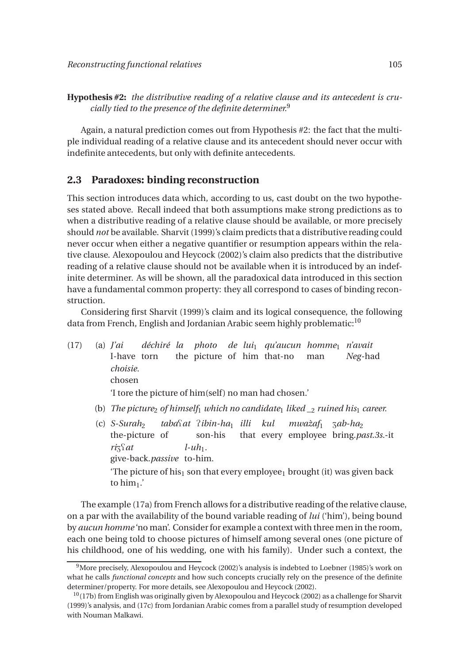**Hypothesis #2:** *the distributive reading of a relative clause and its antecedent is crucially tied to the presence of the definite determiner.*<sup>9</sup>

Again, a natural prediction comes out from Hypothesis #2: the fact that the multiple individual reading of a relative clause and its antecedent should never occur with indefinite antecedents, but only with definite antecedents.

#### **2.3 Paradoxes: binding reconstruction**

This section introduces data which, according to us, cast doubt on the two hypotheses stated above. Recall indeed that both assumptions make strong predictions as to when a distributive reading of a relative clause should be available, or more precisely should *not* be available. Sharvit (1999)'s claim predicts that a distributive reading could never occur when either a negative quantifier or resumption appears within the relative clause. Alexopoulou and Heycock (2002)'s claim also predicts that the distributive reading of a relative clause should not be available when it is introduced by an indefinite determiner. As will be shown, all the paradoxical data introduced in this section have a fundamental common property: they all correspond to cases of binding reconstruction.

Considering first Sharvit (1999)'s claim and its logical consequence, the following data from French, English and Jordanian Arabic seem highly problematic:<sup>10</sup>

- (17) (a) *J'ai* I-have torn *déchiré la photo de lui*<sup>1</sup> *qu'aucun homme*<sup>1</sup> *n'avait* the picture of him that-no man *Neg*-had *choisie.* chosen 'I tore the picture of him(self ) no man had chosen.'
	- (b) *The picture<sub>2</sub> of himself*<sub>1</sub> *which no candidate*<sub>1</sub> *liked*  $\frac{1}{2}$  *ruined his*<sub>1</sub> *career.*
	- (c)  $S-Surah<sub>2</sub>$ the-picture of *taba*Q*at* P*ibin-ha*<sup>1</sup> *illi* son-his that every employee bring.*past.3s.*-it *kul mwazaf `* <sup>1</sup> Z*ab-ha*<sup>2</sup>  $riz\$ give-back.*passive* to-him.  $l$ - $uh_1$ . 'The picture of his $<sub>1</sub>$  son that every employee<sub>1</sub> brought (it) was given back</sub> to him1.'

The example (17a) from French allows for a distributive reading of the relative clause, on a par with the availability of the bound variable reading of *lui* ('him'), being bound by *aucun homme* 'no man'. Consider for example a context with three men in the room, each one being told to choose pictures of himself among several ones (one picture of his childhood, one of his wedding, one with his family). Under such a context, the

<sup>&</sup>lt;sup>9</sup>More precisely, Alexopoulou and Heycock (2002)'s analysis is indebted to Loebner (1985)'s work on what he calls *functional concepts* and how such concepts crucially rely on the presence of the definite determiner/property. For more details, see Alexopoulou and Heycock (2002).

 $10(17b)$  from English was originally given by Alexopoulou and Heycock (2002) as a challenge for Sharvit (1999)'s analysis, and (17c) from Jordanian Arabic comes from a parallel study of resumption developed with Nouman Malkawi.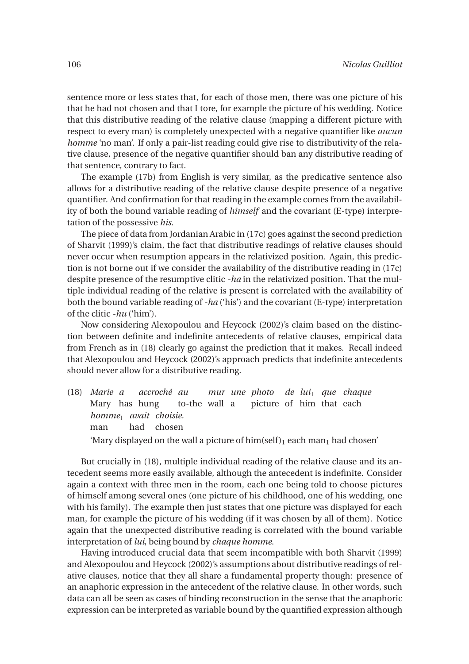sentence more or less states that, for each of those men, there was one picture of his that he had not chosen and that I tore, for example the picture of his wedding. Notice that this distributive reading of the relative clause (mapping a different picture with respect to every man) is completely unexpected with a negative quantifier like *aucun homme* 'no man'. If only a pair-list reading could give rise to distributivity of the relative clause, presence of the negative quantifier should ban any distributive reading of that sentence, contrary to fact.

The example (17b) from English is very similar, as the predicative sentence also allows for a distributive reading of the relative clause despite presence of a negative quantifier. And confirmation for that reading in the example comes from the availability of both the bound variable reading of *himself* and the covariant (E-type) interpretation of the possessive *his*.

The piece of data from Jordanian Arabic in (17c) goes against the second prediction of Sharvit (1999)'s claim, the fact that distributive readings of relative clauses should never occur when resumption appears in the relativized position. Again, this prediction is not borne out if we consider the availability of the distributive reading in (17c) despite presence of the resumptive clitic *-ha* in the relativized position. That the multiple individual reading of the relative is present is correlated with the availability of both the bound variable reading of *-ha* ('his') and the covariant (E-type) interpretation of the clitic *-hu* ('him').

Now considering Alexopoulou and Heycock (2002)'s claim based on the distinction between definite and indefinite antecedents of relative clauses, empirical data from French as in (18) clearly go against the prediction that it makes. Recall indeed that Alexopoulou and Heycock (2002)'s approach predicts that indefinite antecedents should never allow for a distributive reading.

(18) *Marie a* Mary has hung *accroché au* to-the wall a *mur une photo de lui*<sup>1</sup> *que chaque* picture of him that each *homme*<sup>1</sup> *avait choisie.* man had chosen 'Mary displayed on the wall a picture of  $\lim(\text{self})_1$  each man<sub>1</sub> had chosen'

But crucially in (18), multiple individual reading of the relative clause and its antecedent seems more easily available, although the antecedent is indefinite. Consider again a context with three men in the room, each one being told to choose pictures of himself among several ones (one picture of his childhood, one of his wedding, one with his family). The example then just states that one picture was displayed for each man, for example the picture of his wedding (if it was chosen by all of them). Notice again that the unexpected distributive reading is correlated with the bound variable interpretation of *lui*, being bound by *chaque homme*.

Having introduced crucial data that seem incompatible with both Sharvit (1999) and Alexopoulou and Heycock (2002)'s assumptions about distributive readings of relative clauses, notice that they all share a fundamental property though: presence of an anaphoric expression in the antecedent of the relative clause. In other words, such data can all be seen as cases of binding reconstruction in the sense that the anaphoric expression can be interpreted as variable bound by the quantified expression although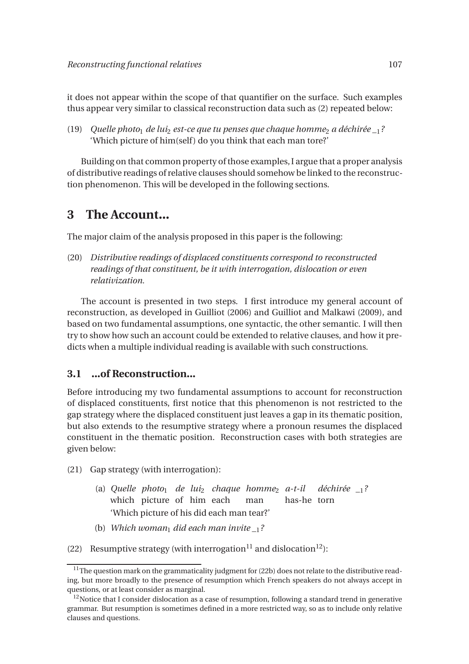it does not appear within the scope of that quantifier on the surface. Such examples thus appear very similar to classical reconstruction data such as (2) repeated below:

(19) *Quelle photo*<sub>1</sub> *de lui*<sub>2</sub> *est-ce que tu penses que chaque homme*<sub>2</sub> *a déchirée*  $\frac{1}{2}$ ? 'Which picture of him(self) do you think that each man tore?'

Building on that common property of those examples, I argue that a proper analysis of distributive readings of relative clauses should somehow be linked to the reconstruction phenomenon. This will be developed in the following sections.

### **3 The Account...**

The major claim of the analysis proposed in this paper is the following:

(20) *Distributive readings of displaced constituents correspond to reconstructed readings of that constituent, be it with interrogation, dislocation or even relativization.*

The account is presented in two steps. I first introduce my general account of reconstruction, as developed in Guilliot (2006) and Guilliot and Malkawi (2009), and based on two fundamental assumptions, one syntactic, the other semantic. I will then try to show how such an account could be extended to relative clauses, and how it predicts when a multiple individual reading is available with such constructions.

### **3.1 ...of Reconstruction...**

Before introducing my two fundamental assumptions to account for reconstruction of displaced constituents, first notice that this phenomenon is not restricted to the gap strategy where the displaced constituent just leaves a gap in its thematic position, but also extends to the resumptive strategy where a pronoun resumes the displaced constituent in the thematic position. Reconstruction cases with both strategies are given below:

(21) Gap strategy (with interrogation):

- (a) *Quelle photo*<sup>1</sup> *de lui*<sup>2</sup> *chaque homme*<sup>2</sup> *a-t-il déchirée \_*1*?* which picture of him each man has-he torn 'Which picture of his did each man tear?'
- (b) *Which woman*<sub>1</sub> *did each man invite*  $\frac{1}{2}$ ?
- (22) Resumptive strategy (with interrogation<sup>11</sup> and dislocation<sup>12</sup>):

<sup>&</sup>lt;sup>11</sup>The question mark on the grammaticality judgment for (22b) does not relate to the distributive reading, but more broadly to the presence of resumption which French speakers do not always accept in questions, or at least consider as marginal.

 $12$ Notice that I consider dislocation as a case of resumption, following a standard trend in generative grammar. But resumption is sometimes defined in a more restricted way, so as to include only relative clauses and questions.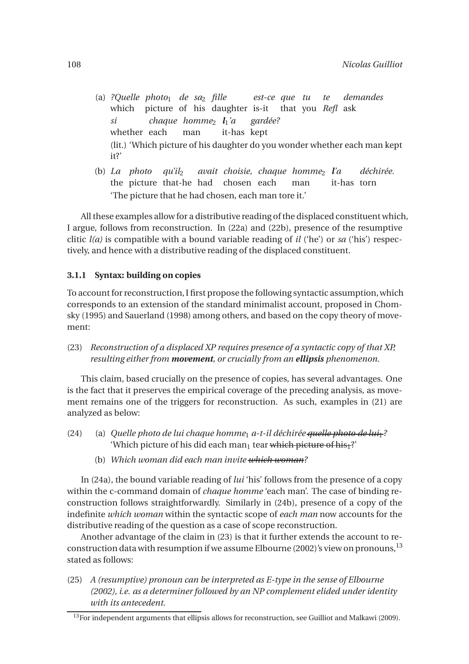- (a) *?Quelle photo*<sup>1</sup> *de sa*<sup>2</sup> *fille* which picture of his daughter is-it that you *Refl* ask *est-ce que tu te demandes si* whether each *chaque homme*<sup>2</sup> *l*1*'a* man it-has kept *gardée?* (lit.) 'Which picture of his daughter do you wonder whether each man kept it?'
- (b) *La photo qu'il*<sup>2</sup> the picture that-he had chosen each *avait choisie, chaque homme*<sup>2</sup> *l'a* man it-has torn *déchirée.* 'The picture that he had chosen, each man tore it.'

All these examples allow for a distributive reading of the displaced constituent which, I argue, follows from reconstruction. In (22a) and (22b), presence of the resumptive clitic *l(a)* is compatible with a bound variable reading of *il* ('he') or *sa* ('his') respectively, and hence with a distributive reading of the displaced constituent.

#### **3.1.1 Syntax: building on copies**

To account for reconstruction, I first propose the following syntactic assumption,which corresponds to an extension of the standard minimalist account, proposed in Chomsky (1995) and Sauerland (1998) among others, and based on the copy theory of movement:

(23) *Reconstruction of a displaced XP requires presence of a syntactic copy of that XP, resulting either from movement, or crucially from an ellipsis phenomenon.*

This claim, based crucially on the presence of copies, has several advantages. One is the fact that it preserves the empirical coverage of the preceding analysis, as movement remains one of the triggers for reconstruction. As such, examples in (21) are analyzed as below:

- (24) (a) *Quelle photo de lui chaque homme*<sup>1</sup> *a-t-il déchirée quelle photo de lui*1*?* 'Which picture of his did each man<sub>1</sub> tear which picture of his<sup>1</sup>?'
	- (b) *Which woman did each man invite which woman?*

In (24a), the bound variable reading of *lui* 'his' follows from the presence of a copy within the c-command domain of *chaque homme* 'each man'. The case of binding reconstruction follows straightforwardly. Similarly in (24b), presence of a copy of the indefinite *which woman* within the syntactic scope of *each man* now accounts for the distributive reading of the question as a case of scope reconstruction.

Another advantage of the claim in (23) is that it further extends the account to reconstruction data with resumption if we assume Elbourne (2002)'s view on pronouns,  $^{13}$ stated as follows:

(25) *A (resumptive) pronoun can be interpreted as E-type in the sense of Elbourne (2002), i.e. as a determiner followed by an NP complement elided under identity with its antecedent.*

<sup>&</sup>lt;sup>13</sup>For independent arguments that ellipsis allows for reconstruction, see Guilliot and Malkawi (2009).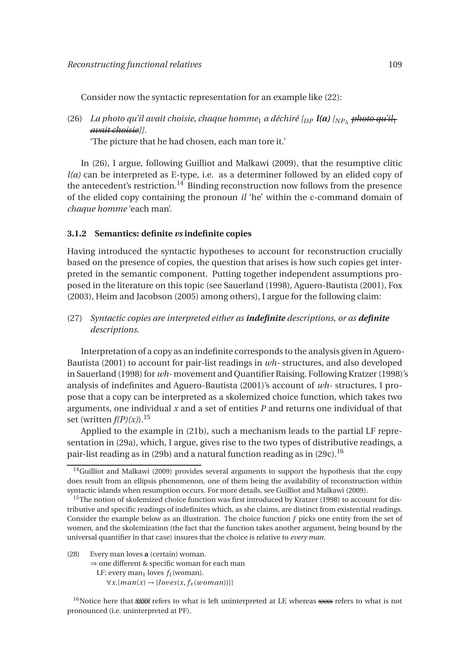Consider now the syntactic representation for an example like (22):

(26) *La photo qu'il avait choisie, chaque homme*<sup>1</sup> *a déchiré [DP l(a) [NP*<sup>∆</sup> *photo qu'il*<sup>1</sup> *avait choisie]].*

'The picture that he had chosen, each man tore it.'

In (26), I argue, following Guilliot and Malkawi (2009), that the resumptive clitic *l(a)* can be interpreted as E-type, i.e. as a determiner followed by an elided copy of the antecedent's restriction.<sup>14</sup> Binding reconstruction now follows from the presence of the elided copy containing the pronoun *il* 'he' within the c-command domain of *chaque homme* 'each man'.

#### **3.1.2 Semantics: definite** *vs* **indefinite copies**

Having introduced the syntactic hypotheses to account for reconstruction crucially based on the presence of copies, the question that arises is how such copies get interpreted in the semantic component. Putting together independent assumptions proposed in the literature on this topic (see Sauerland (1998), Aguero-Bautista (2001), Fox (2003), Heim and Jacobson (2005) among others), I argue for the following claim:

(27) *Syntactic copies are interpreted either as indefinite descriptions, or as definite descriptions.*

Interpretation of a copy as an indefinite corresponds to the analysis given in Aguero-Bautista (2001) to account for pair-list readings in *wh-* structures, and also developed in Sauerland (1998) for *wh-* movement and Quantifier Raising. Following Kratzer (1998)'s analysis of indefinites and Aguero-Bautista (2001)'s account of *wh-* structures, I propose that a copy can be interpreted as a skolemized choice function, which takes two arguments, one individual *x* and a set of entities *P* and returns one individual of that set (written  $f(P)(x)$ ).<sup>15</sup>

Applied to the example in (21b), such a mechanism leads to the partial LF representation in (29a), which, I argue, gives rise to the two types of distributive readings, a pair-list reading as in (29b) and a natural function reading as in (29c).<sup>16</sup>

- (28) Every man loves **a** (certain) woman.
	- ⇒ one different & specific woman for each man LF: every man<sub>1</sub> loves  $f_1$  (woman). ∀*x*.[*man*(*x*) → [*loves*(*x*, *f<sup>x</sup>* (*woman*))]]

 $16$ Notice here that  $\frac{1}{2}$  ///  $\frac{1}{2}$  at is left uninterpreted at LF, whereas xxx refers to what is not pronounced (i.e. uninterpreted at PF).

 $14$ Guilliot and Malkawi (2009) provides several arguments to support the hypothesis that the copy does result from an ellipsis phenomenon, one of them being the availability of reconstruction within syntactic islands when resumption occurs. For more details, see Guilliot and Malkawi (2009).

<sup>&</sup>lt;sup>15</sup>The notion of skolemized choice function was first introduced by Kratzer (1998) to account for distributive and specific readings of indefinites which, as she claims, are distinct from existential readings. Consider the example below as an illustration. The choice function *f* picks one entity from the set of women, and the skolemization (the fact that the function takes another argument, being bound by the universal quantifier in that case) insures that the choice is relative to *every man*.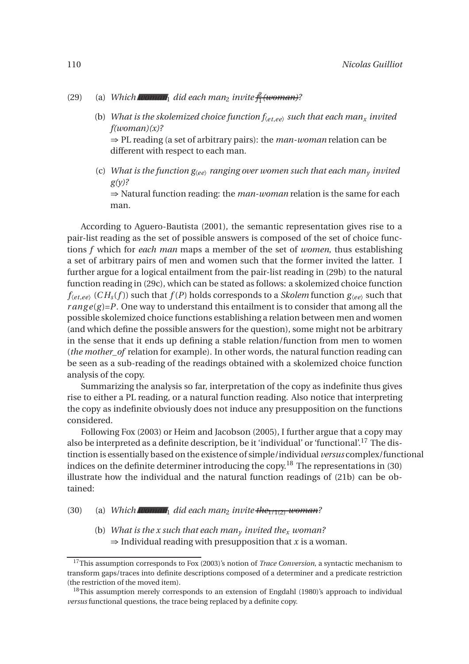#### (29) (a) *Which*  $\mathbb{I}$   $\mathbb{I}$  *did each man<sub>2</sub> invite*  $\frac{\hat{\mu}}{1}$ 1 *(woman)?*

- (b) *What is the skolemized choice function*  $f_{\text{(e}t,ee)}$  *such that each man<sub>x</sub> invited f(woman)(x)?* ⇒ PL reading (a set of arbitrary pairs): the *man-woman* relation can be different with respect to each man.
- (c) *What is the function*  $g_{\langle ee \rangle}$  *ranging over women such that each man<sub>y</sub> invited g(y)?*

⇒ Natural function reading: the *man-woman* relation is the same for each man.

According to Aguero-Bautista (2001), the semantic representation gives rise to a pair-list reading as the set of possible answers is composed of the set of choice functions *f* which for *each man* maps a member of the set of *women*, thus establishing a set of arbitrary pairs of men and women such that the former invited the latter. I further argue for a logical entailment from the pair-list reading in (29b) to the natural function reading in (29c), which can be stated as follows: a skolemized choice function  $f_{\langle etc \rangle}$  (*CH<sub>s</sub>*(*f*)) such that  $f(P)$  holds corresponds to a *Skolem* function  $g_{\langle ee \rangle}$  such that  $range(g)=P$ . One way to understand this entailment is to consider that among all the possible skolemized choice functions establishing a relation between men and women (and which define the possible answers for the question), some might not be arbitrary in the sense that it ends up defining a stable relation/function from men to women (*the mother of relation for example*). In other words, the natural function reading can be seen as a sub-reading of the readings obtained with a skolemized choice function analysis of the copy.

Summarizing the analysis so far, interpretation of the copy as indefinite thus gives rise to either a PL reading, or a natural function reading. Also notice that interpreting the copy as indefinite obviously does not induce any presupposition on the functions considered.

Following Fox (2003) or Heim and Jacobson (2005), I further argue that a copy may also be interpreted as a definite description, be it 'individual' or 'functional'.<sup>17</sup> The distinction is essentially based on the existence of simple/individual *versus* complex/functional indices on the definite determiner introducing the copy.<sup>18</sup> The representations in (30) illustrate how the individual and the natural function readings of (21b) can be obtained:

#### (30) (a) *Which*  $\mathbf{M}_1$  did each man<sub>2</sub> invite  $\mathbf{R}_1/\mathbf{M}_2$  *woman?*

(b) *What is the x such that each man<sup>y</sup> invited the<sup>x</sup> woman?*  $\Rightarrow$  Individual reading with presupposition that *x* is a woman.

<sup>17</sup>This assumption corresponds to Fox (2003)'s notion of *Trace Conversion*, a syntactic mechanism to transform gaps/traces into definite descriptions composed of a determiner and a predicate restriction (the restriction of the moved item).

<sup>&</sup>lt;sup>18</sup>This assumption merely corresponds to an extension of Engdahl (1980)'s approach to individual *versus* functional questions, the trace being replaced by a definite copy.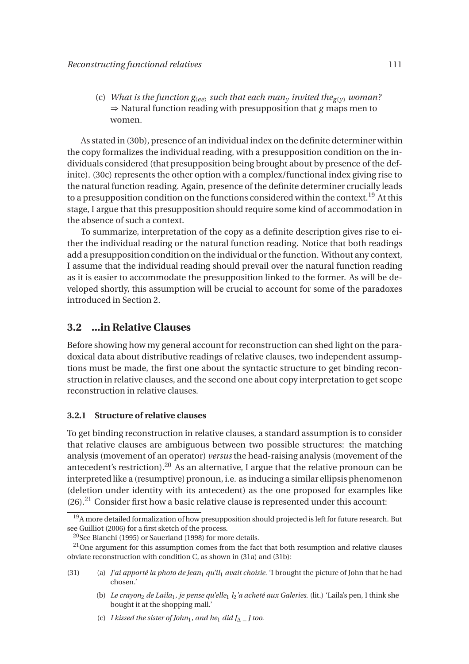(c) *What is the function*  $g_{\langle ee\rangle}$  *such that each man<sub>y</sub> invited the<sub>g(y)</sub> woman?* ⇒ Natural function reading with presupposition that *g* maps men to women.

As stated in (30b), presence of an individual index on the definite determiner within the copy formalizes the individual reading, with a presupposition condition on the individuals considered (that presupposition being brought about by presence of the definite). (30c) represents the other option with a complex/functional index giving rise to the natural function reading. Again, presence of the definite determiner crucially leads to a presupposition condition on the functions considered within the context.<sup>19</sup> At this stage, I argue that this presupposition should require some kind of accommodation in the absence of such a context.

To summarize, interpretation of the copy as a definite description gives rise to either the individual reading or the natural function reading. Notice that both readings add a presupposition condition on the individual or the function. Without any context, I assume that the individual reading should prevail over the natural function reading as it is easier to accommodate the presupposition linked to the former. As will be developed shortly, this assumption will be crucial to account for some of the paradoxes introduced in Section 2.

#### **3.2 ...in Relative Clauses**

Before showing how my general account for reconstruction can shed light on the paradoxical data about distributive readings of relative clauses, two independent assumptions must be made, the first one about the syntactic structure to get binding reconstruction in relative clauses, and the second one about copy interpretation to get scope reconstruction in relative clauses.

#### **3.2.1 Structure of relative clauses**

To get binding reconstruction in relative clauses, a standard assumption is to consider that relative clauses are ambiguous between two possible structures: the matching analysis (movement of an operator) *versus* the head-raising analysis (movement of the antecedent's restriction).<sup>20</sup> As an alternative, I argue that the relative pronoun can be interpreted like a (resumptive) pronoun, i.e. as inducing a similar ellipsis phenomenon (deletion under identity with its antecedent) as the one proposed for examples like  $(26).<sup>21</sup>$  Consider first how a basic relative clause is represented under this account:

(c) *I kissed the sister of John*<sub>1</sub>*, and he*<sub>1</sub> *did*  $\lceil \wedge \rceil$  *too.* 

<sup>&</sup>lt;sup>19</sup>A more detailed formalization of how presupposition should projected is left for future research. But see Guilliot (2006) for a first sketch of the process.

<sup>20</sup>See Bianchi (1995) or Sauerland (1998) for more details.

 $21$ One argument for this assumption comes from the fact that both resumption and relative clauses obviate reconstruction with condition C, as shown in (31a) and (31b):

<sup>(31) (</sup>a) *J'ai apporté la photo de Jean*<sup>1</sup> *qu'il*<sup>1</sup> *avait choisie.* 'I brought the picture of John that he had chosen.'

<sup>(</sup>b) *Le crayon*<sup>2</sup> *de Laila*1*, je pense qu'elle*<sup>1</sup> *l*2*'a acheté aux Galeries.* (lit.) 'Laila's pen, I think she bought it at the shopping mall.'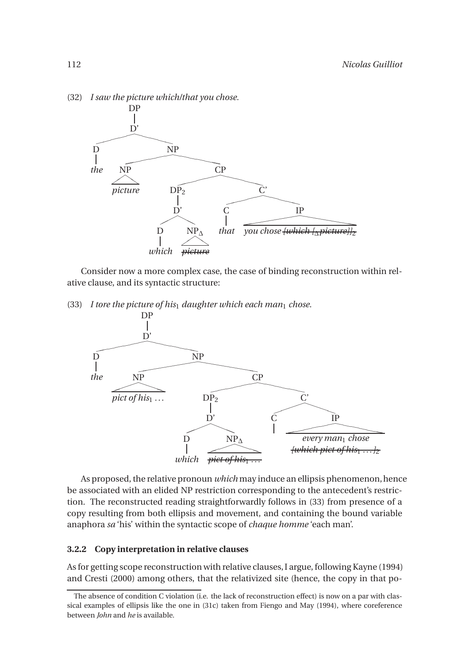

(32) *I saw the picture which/that you chose.*

Consider now a more complex case, the case of binding reconstruction within relative clause, and its syntactic structure:

(33) *I tore the picture of his*<sup>1</sup> *daughter which each man*<sup>1</sup> *chose.*



As proposed, the relative pronoun *which* may induce an ellipsis phenomenon, hence be associated with an elided NP restriction corresponding to the antecedent's restriction. The reconstructed reading straightforwardly follows in (33) from presence of a copy resulting from both ellipsis and movement, and containing the bound variable anaphora *sa* 'his' within the syntactic scope of *chaque homme* 'each man'.

#### **3.2.2 Copy interpretation in relative clauses**

As for getting scope reconstruction with relative clauses,I argue, following Kayne (1994) and Cresti (2000) among others, that the relativized site (hence, the copy in that po-

The absence of condition C violation (i.e. the lack of reconstruction effect) is now on a par with classical examples of ellipsis like the one in (31c) taken from Fiengo and May (1994), where coreference between *John* and *he* is available.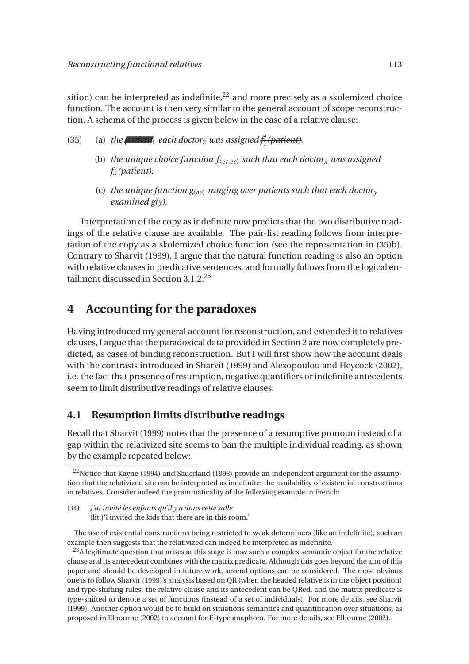sition) can be interpreted as indefinite, $^{22}$  and more precisely as a skolemized choice function. The account is then very similar to the general account of scope reconstruction. A schema of the process is given below in the case of a relative clause:

- (35) (a) *the pulletter* each doctor<sub>2</sub> *was assigned*  $\frac{\hat{p}}{1}$ 1 *(patient).*
	- (b) *the unique choice function*  $f_{\text{(et,ee)}}$  *such that each doctor<sub>x</sub> <i>was assigned f<sup>x</sup> (patient)*.
	- (c) *the unique function*  $g_{\langle ee \rangle}$  *ranging over patients such that each doctor*<sub>*y*</sub> *examined g(y)*.

Interpretation of the copy as indefinite now predicts that the two distributive readings of the relative clause are available. The pair-list reading follows from interpretation of the copy as a skolemized choice function (see the representation in (35)b). Contrary to Sharvit (1999), I argue that the natural function reading is also an option with relative clauses in predicative sentences, and formally follows from the logical entailment discussed in Section  $3.1.2^{23}$ 

# **4 Accounting for the paradoxes**

Having introduced my general account for reconstruction, and extended it to relatives clauses, I argue that the paradoxical data provided in Section 2 are now completely predicted, as cases of binding reconstruction. But I will first show how the account deals with the contrasts introduced in Sharvit (1999) and Alexopoulou and Heycock (2002), i.e. the fact that presence of resumption, negative quantifiers or indefinite antecedents seem to limit distributive readings of relative clauses.

### **4.1 Resumption limits distributive readings**

Recall that Sharvit (1999) notes that the presence of a resumptive pronoun instead of a gap within the relativized site seems to ban the multiple individual reading, as shown by the example repeated below:

(34) *J'ai invité les enfants qu'il y a dans cette salle.* (lit.)'I invited the kids that there are in this room.'

The use of existential constructions being restricted to weak determiners (like an indefinite), such an example then suggests that the relativized can indeed be interpreted as indefinite.

 $23A$  legitimate question that arises at this stage is how such a complex semantic object for the relative clause and its antecedent combines with the matrix predicate. Although this goes beyond the aim of this paper and should be developed in future work, several options can be considered. The most obvious one is to follow Sharvit (1999)'s analysis based on QR (when the headed relative is in the object position) and type-shifting rules: the relative clause and its antecedent can be QRed, and the matrix predicate is type-shifted to denote a set of functions (instead of a set of individuals). For more details, see Sharvit (1999). Another option would be to build on situations semantics and quantification over situations, as proposed in Elbourne (2002) to account for E-type anaphora. For more details, see Elbourne (2002).

 $22$ Notice that Kayne (1994) and Sauerland (1998) provide an independent argument for the assumption that the relativized site can be interpreted as indefinite: the availability of existential constructions in relatives. Consider indeed the grammaticality of the following example in French: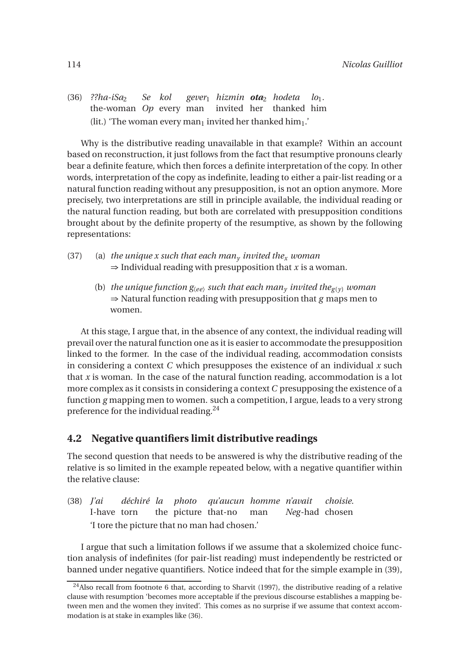(36) *??ha-iSa*<sup>2</sup> the-woman *Op* every man invited her thanked him *Se kol gever*<sup>1</sup> *hizmin ota*<sup>2</sup> *hodeta lo*1*.* (lit.) 'The woman every man<sub>1</sub> invited her thanked him<sub>1</sub>.'

Why is the distributive reading unavailable in that example? Within an account based on reconstruction, it just follows from the fact that resumptive pronouns clearly bear a definite feature, which then forces a definite interpretation of the copy. In other words, interpretation of the copy as indefinite, leading to either a pair-list reading or a natural function reading without any presupposition, is not an option anymore. More precisely, two interpretations are still in principle available, the individual reading or the natural function reading, but both are correlated with presupposition conditions brought about by the definite property of the resumptive, as shown by the following representations:

- (37) (a) *the unique x such that each man<sub>y</sub> invited the<sub>x</sub> <i>woman*  $\Rightarrow$  Individual reading with presupposition that *x* is a woman.
	- (b) *the unique function*  $g_{\langle ee\rangle}$  *such that each man<sub>y</sub> invited the<sub>g(y)</sub> woman* ⇒ Natural function reading with presupposition that *g* maps men to women.

At this stage, I argue that, in the absence of any context, the individual reading will prevail over the natural function one as it is easier to accommodate the presupposition linked to the former. In the case of the individual reading, accommodation consists in considering a context *C* which presupposes the existence of an individual *x* such that *x* is woman. In the case of the natural function reading, accommodation is a lot more complex as it consists in considering a context *C* presupposing the existence of a function *g* mapping men to women. such a competition, I argue, leads to a very strong preference for the individual reading.<sup>24</sup>

### **4.2 Negative quantifiers limit distributive readings**

The second question that needs to be answered is why the distributive reading of the relative is so limited in the example repeated below, with a negative quantifier within the relative clause:

(38) *J'ai* I-have torn *déchiré la* the picture that-no *photo qu'aucun homme n'avait* man *Neg*-had chosen *choisie.* 'I tore the picture that no man had chosen.'

I argue that such a limitation follows if we assume that a skolemized choice function analysis of indefinites (for pair-list reading) must independently be restricted or banned under negative quantifiers. Notice indeed that for the simple example in (39),

<sup>&</sup>lt;sup>24</sup>Also recall from footnote 6 that, according to Sharvit (1997), the distributive reading of a relative clause with resumption 'becomes more acceptable if the previous discourse establishes a mapping between men and the women they invited'. This comes as no surprise if we assume that context accommodation is at stake in examples like (36).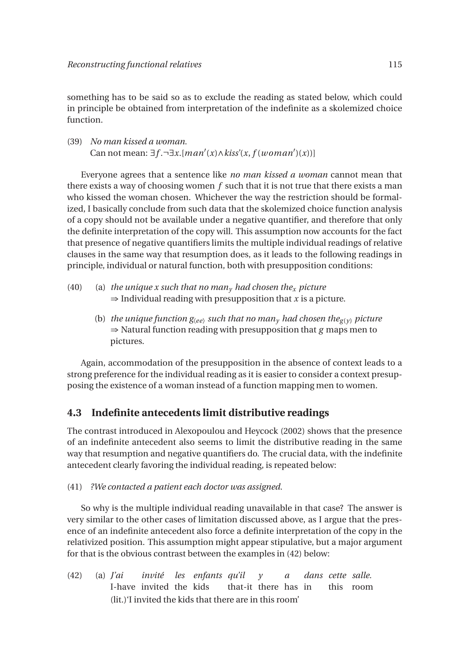something has to be said so as to exclude the reading as stated below, which could in principle be obtained from interpretation of the indefinite as a skolemized choice function.

(39) *No man kissed a woman.* Can not mean:  $\exists f. \neg \exists x. [man'(x) \land kiss'(x, f(woman')(x))]$ 

Everyone agrees that a sentence like *no man kissed a woman* cannot mean that there exists a way of choosing women *f* such that it is not true that there exists a man who kissed the woman chosen. Whichever the way the restriction should be formalized, I basically conclude from such data that the skolemized choice function analysis of a copy should not be available under a negative quantifier, and therefore that only the definite interpretation of the copy will. This assumption now accounts for the fact that presence of negative quantifiers limits the multiple individual readings of relative clauses in the same way that resumption does, as it leads to the following readings in principle, individual or natural function, both with presupposition conditions:

- (40) (a) *the unique x such that no man<sub>y</sub> had chosen the<sub>x</sub> picture*  $\Rightarrow$  Individual reading with presupposition that *x* is a picture.
	- (b) *the unique function*  $g_{\langle ee\rangle}$  *such that no man<sub>y</sub> had chosen the<sub>g(y)</sub> picture* ⇒ Natural function reading with presupposition that *g* maps men to pictures.

Again, accommodation of the presupposition in the absence of context leads to a strong preference for the individual reading as it is easier to consider a context presupposing the existence of a woman instead of a function mapping men to women.

### **4.3 Indefinite antecedents limit distributive readings**

The contrast introduced in Alexopoulou and Heycock (2002) shows that the presence of an indefinite antecedent also seems to limit the distributive reading in the same way that resumption and negative quantifiers do. The crucial data, with the indefinite antecedent clearly favoring the individual reading, is repeated below:

(41) *?We contacted a patient each doctor was assigned.*

So why is the multiple individual reading unavailable in that case? The answer is very similar to the other cases of limitation discussed above, as I argue that the presence of an indefinite antecedent also force a definite interpretation of the copy in the relativized position. This assumption might appear stipulative, but a major argument for that is the obvious contrast between the examples in (42) below:

(42) (a) *J'ai* I-have invited the kids *invité les enfants qu'il* that-it there has in *y a dans cette salle.* this room (lit.)'I invited the kids that there are in this room'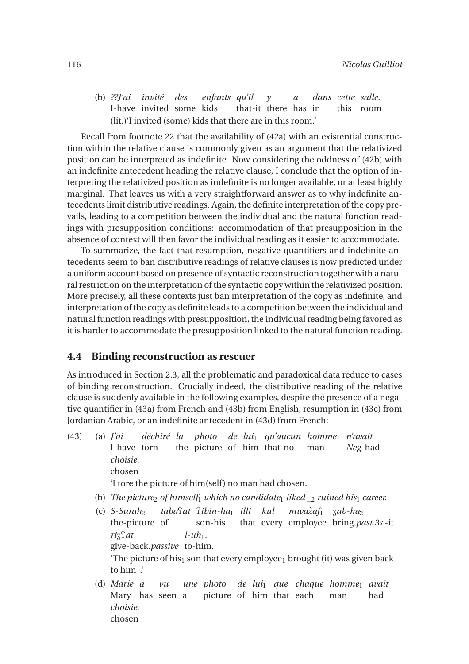(b) *??J'ai invité* I-have invited some kids *des enfants qu'il* that-it there has in *y a dans cette salle.* this room (lit.)'I invited (some) kids that there are in this room.'

Recall from footnote 22 that the availability of (42a) with an existential construction within the relative clause is commonly given as an argument that the relativized position can be interpreted as indefinite. Now considering the oddness of (42b) with an indefinite antecedent heading the relative clause, I conclude that the option of interpreting the relativized position as indefinite is no longer available, or at least highly marginal. That leaves us with a very straightforward answer as to why indefinite antecedents limit distributive readings. Again, the definite interpretation of the copy prevails, leading to a competition between the individual and the natural function readings with presupposition conditions: accommodation of that presupposition in the absence of context will then favor the individual reading as it easier to accommodate.

To summarize, the fact that resumption, negative quantifiers and indefinite antecedents seem to ban distributive readings of relative clauses is now predicted under a uniform account based on presence of syntactic reconstruction together with a natural restriction on the interpretation of the syntactic copy within the relativized position. More precisely, all these contexts just ban interpretation of the copy as indefinite, and interpretation of the copy as definite leads to a competition between the individual and natural function readings with presupposition, the individual reading being favored as it is harder to accommodate the presupposition linked to the natural function reading.

#### **4.4 Binding reconstruction as rescuer**

As introduced in Section 2.3, all the problematic and paradoxical data reduce to cases of binding reconstruction. Crucially indeed, the distributive reading of the relative clause is suddenly available in the following examples, despite the presence of a negative quantifier in (43a) from French and (43b) from English, resumption in (43c) from Jordanian Arabic, or an indefinite antecedent in (43d) from French:

- (43) (a) *J'ai* I-have torn *déchiré la photo de lui*<sup>1</sup> *qu'aucun homme*<sup>1</sup> *n'avait* the picture of him that-no man *Neg*-had *choisie.* chosen 'I tore the picture of him(self ) no man had chosen.' (b) *The picture<sub>2</sub> of himself<sub>1</sub> which no candidate<sub>1</sub> liked*  $\frac{1}{2}$  *<i>ruined his<sub>1</sub> career.* (c)  $S-Surah<sub>2</sub>$ *taba*Q*at* P*ibin-ha*<sup>1</sup> *illi kul mwazaf `* <sup>1</sup> Z*ab-ha*<sup>2</sup>
	- the-picture of son-his that every employee bring.*past.3s.*-it  $riz\$ a*t* give-back.*passive* to-him.  $l$ - $uh_1$ . 'The picture of his<sub>1</sub> son that every employee<sub>1</sub> brought (it) was given back to  $\lim_{1}$ .
	- (d) *Marie a* Mary has seen a *vu une photo de lui*<sup>1</sup> *que chaque homme*<sup>1</sup> *avait* picture of him that each man had *choisie.* chosen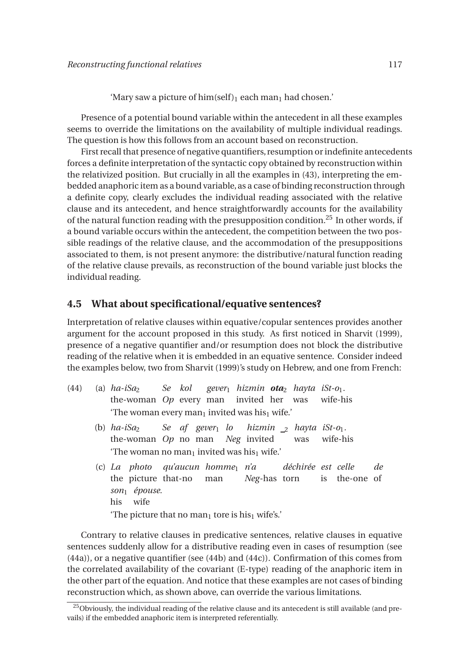'Mary saw a picture of  $\lim(\text{self})_1$  each man<sub>1</sub> had chosen.'

Presence of a potential bound variable within the antecedent in all these examples seems to override the limitations on the availability of multiple individual readings. The question is how this follows from an account based on reconstruction.

First recall that presence of negative quantifiers, resumption or indefinite antecedents forces a definite interpretation of the syntactic copy obtained by reconstruction within the relativized position. But crucially in all the examples in (43), interpreting the embedded anaphoric item as a bound variable, as a case of binding reconstruction through a definite copy, clearly excludes the individual reading associated with the relative clause and its antecedent, and hence straightforwardly accounts for the availability of the natural function reading with the presupposition condition.<sup>25</sup> In other words, if a bound variable occurs within the antecedent, the competition between the two possible readings of the relative clause, and the accommodation of the presuppositions associated to them, is not present anymore: the distributive/natural function reading of the relative clause prevails, as reconstruction of the bound variable just blocks the individual reading.

#### **4.5 What about specificational/equative sentences?**

Interpretation of relative clauses within equative/copular sentences provides another argument for the account proposed in this study. As first noticed in Sharvit (1999), presence of a negative quantifier and/or resumption does not block the distributive reading of the relative when it is embedded in an equative sentence. Consider indeed the examples below, two from Sharvit (1999)'s study on Hebrew, and one from French:

- $(44)$  (a)  $ha-iSa<sub>2</sub>$ the-woman *Op* every man *Se kol gever*<sup>1</sup> *hizmin ota*<sup>2</sup> *hayta iSt-o*1*.* invited her was wife-his 'The woman every man<sub>1</sub> invited was his<sub>1</sub> wife.'
	- $(b)$  *ha-iSa* the-woman *Op* no man *Neg* invited *Se af gever*<sup>1</sup> *lo hizmin* <sup>2</sup> *hayta iSt-o*1*.* was wife-his 'The woman no man<sub>1</sub> invited was his<sub>1</sub> wife.'
	- (c) *La photo qu'aucun homme*<sup>1</sup> *n'a* the picture that-no man *Neg*-has torn *déchirée est celle* is the-one of *de son*<sup>1</sup> *épouse.* his wife 'The picture that no man<sub>1</sub> tore is his<sub>1</sub> wife's.'

Contrary to relative clauses in predicative sentences, relative clauses in equative sentences suddenly allow for a distributive reading even in cases of resumption (see (44a)), or a negative quantifier (see (44b) and (44c)). Confirmation of this comes from the correlated availability of the covariant (E-type) reading of the anaphoric item in the other part of the equation. And notice that these examples are not cases of binding reconstruction which, as shown above, can override the various limitations.

<sup>&</sup>lt;sup>25</sup>Obviously, the individual reading of the relative clause and its antecedent is still available (and prevails) if the embedded anaphoric item is interpreted referentially.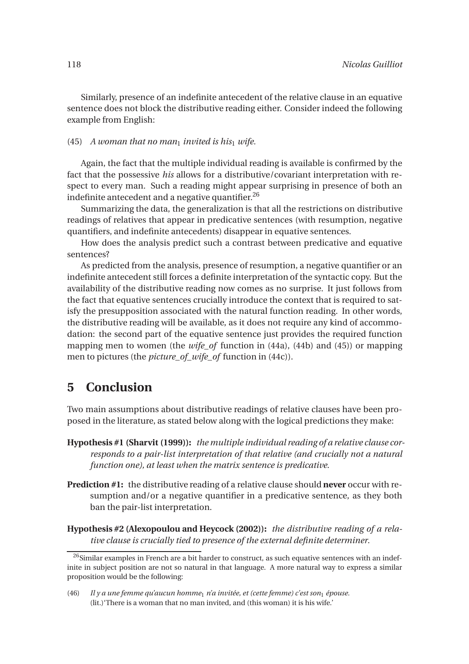Similarly, presence of an indefinite antecedent of the relative clause in an equative sentence does not block the distributive reading either. Consider indeed the following example from English:

#### (45) *A woman that no man<sub>1</sub> invited is his<sub>1</sub> wife.*

Again, the fact that the multiple individual reading is available is confirmed by the fact that the possessive *his* allows for a distributive/covariant interpretation with respect to every man. Such a reading might appear surprising in presence of both an indefinite antecedent and a negative quantifier. $^{26}$ 

Summarizing the data, the generalization is that all the restrictions on distributive readings of relatives that appear in predicative sentences (with resumption, negative quantifiers, and indefinite antecedents) disappear in equative sentences.

How does the analysis predict such a contrast between predicative and equative sentences?

As predicted from the analysis, presence of resumption, a negative quantifier or an indefinite antecedent still forces a definite interpretation of the syntactic copy. But the availability of the distributive reading now comes as no surprise. It just follows from the fact that equative sentences crucially introduce the context that is required to satisfy the presupposition associated with the natural function reading. In other words, the distributive reading will be available, as it does not require any kind of accommodation: the second part of the equative sentence just provides the required function mapping men to women (the *wife\_of* function in (44a), (44b) and (45)) or mapping men to pictures (the *picture\_of\_wife\_of* function in (44c)).

# **5 Conclusion**

Two main assumptions about distributive readings of relative clauses have been proposed in the literature, as stated below along with the logical predictions they make:

- **Hypothesis #1 (Sharvit (1999)):** *the multiple individual reading of a relative clause corresponds to a pair-list interpretation of that relative (and crucially not a natural function one), at least when the matrix sentence is predicative*.
- **Prediction #1:** the distributive reading of a relative clause should **never** occur with resumption and/or a negative quantifier in a predicative sentence, as they both ban the pair-list interpretation.
- **Hypothesis #2 (Alexopoulou and Heycock (2002)):** *the distributive reading of a relative clause is crucially tied to presence of the external definite determiner*.

<sup>&</sup>lt;sup>26</sup>Similar examples in French are a bit harder to construct, as such equative sentences with an indefinite in subject position are not so natural in that language. A more natural way to express a similar proposition would be the following:

<sup>(46)</sup> *Il y a une femme qu'aucun homme*<sub>1</sub> *n'a invitée, et (cette femme) c'est son*<sub>1</sub> épouse. (lit.)'There is a woman that no man invited, and (this woman) it is his wife.'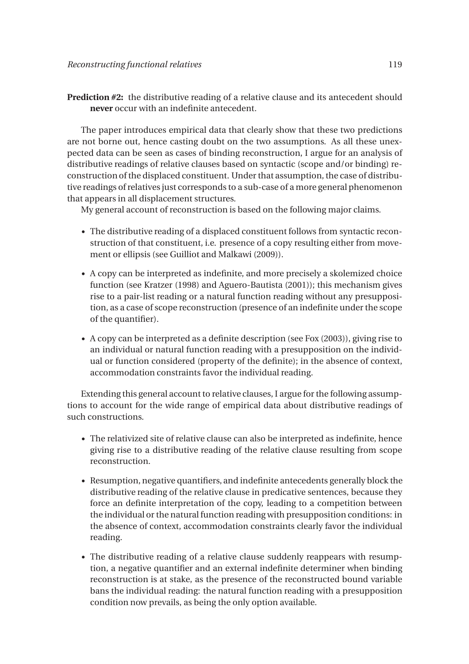**Prediction #2:** the distributive reading of a relative clause and its antecedent should **never** occur with an indefinite antecedent.

The paper introduces empirical data that clearly show that these two predictions are not borne out, hence casting doubt on the two assumptions. As all these unexpected data can be seen as cases of binding reconstruction, I argue for an analysis of distributive readings of relative clauses based on syntactic (scope and/or binding) reconstruction of the displaced constituent. Under that assumption, the case of distributive readings of relatives just corresponds to a sub-case of a more general phenomenon that appears in all displacement structures.

My general account of reconstruction is based on the following major claims.

- The distributive reading of a displaced constituent follows from syntactic reconstruction of that constituent, i.e. presence of a copy resulting either from movement or ellipsis (see Guilliot and Malkawi (2009)).
- A copy can be interpreted as indefinite, and more precisely a skolemized choice function (see Kratzer (1998) and Aguero-Bautista (2001)); this mechanism gives rise to a pair-list reading or a natural function reading without any presupposition, as a case of scope reconstruction (presence of an indefinite under the scope of the quantifier).
- A copy can be interpreted as a definite description (see Fox (2003)), giving rise to an individual or natural function reading with a presupposition on the individual or function considered (property of the definite); in the absence of context, accommodation constraints favor the individual reading.

Extending this general account to relative clauses, I argue for the following assumptions to account for the wide range of empirical data about distributive readings of such constructions.

- The relativized site of relative clause can also be interpreted as indefinite, hence giving rise to a distributive reading of the relative clause resulting from scope reconstruction.
- Resumption, negative quantifiers, and indefinite antecedents generally block the distributive reading of the relative clause in predicative sentences, because they force an definite interpretation of the copy, leading to a competition between the individual or the natural function reading with presupposition conditions: in the absence of context, accommodation constraints clearly favor the individual reading.
- The distributive reading of a relative clause suddenly reappears with resumption, a negative quantifier and an external indefinite determiner when binding reconstruction is at stake, as the presence of the reconstructed bound variable bans the individual reading: the natural function reading with a presupposition condition now prevails, as being the only option available.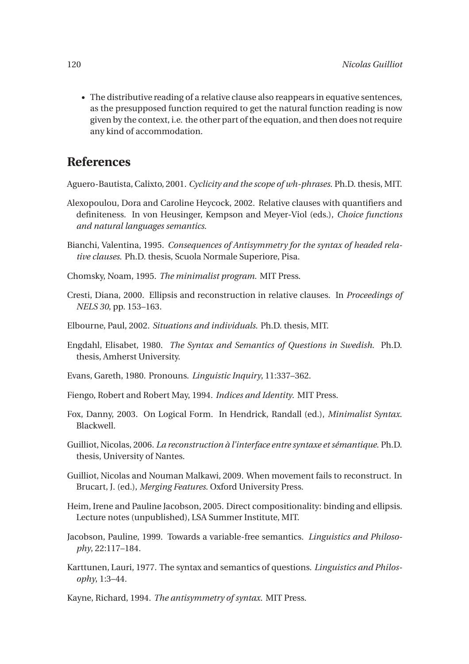• The distributive reading of a relative clause also reappears in equative sentences, as the presupposed function required to get the natural function reading is now given by the context, i.e. the other part of the equation, and then does not require any kind of accommodation.

## **References**

Aguero-Bautista, Calixto, 2001. *Cyclicity and the scope of wh-phrases*. Ph.D. thesis, MIT.

- Alexopoulou, Dora and Caroline Heycock, 2002. Relative clauses with quantifiers and definiteness. In von Heusinger, Kempson and Meyer-Viol (eds.), *Choice functions and natural languages semantics*.
- Bianchi, Valentina, 1995. *Consequences of Antisymmetry for the syntax of headed relative clauses*. Ph.D. thesis, Scuola Normale Superiore, Pisa.
- Chomsky, Noam, 1995. *The minimalist program*. MIT Press.
- Cresti, Diana, 2000. Ellipsis and reconstruction in relative clauses. In *Proceedings of NELS 30*, pp. 153–163.
- Elbourne, Paul, 2002. *Situations and individuals*. Ph.D. thesis, MIT.
- Engdahl, Elisabet, 1980. *The Syntax and Semantics of Questions in Swedish*. Ph.D. thesis, Amherst University.
- Evans, Gareth, 1980. Pronouns. *Linguistic Inquiry*, 11:337–362.
- Fiengo, Robert and Robert May, 1994. *Indices and Identity*. MIT Press.
- Fox, Danny, 2003. On Logical Form. In Hendrick, Randall (ed.), *Minimalist Syntax*. Blackwell.
- Guilliot, Nicolas, 2006. *La reconstruction à l'interface entre syntaxe et sémantique*. Ph.D. thesis, University of Nantes.
- Guilliot, Nicolas and Nouman Malkawi, 2009. When movement fails to reconstruct. In Brucart, J. (ed.), *Merging Features*. Oxford University Press.
- Heim, Irene and Pauline Jacobson, 2005. Direct compositionality: binding and ellipsis. Lecture notes (unpublished), LSA Summer Institute, MIT.
- Jacobson, Pauline, 1999. Towards a variable-free semantics. *Linguistics and Philosophy*, 22:117–184.
- Karttunen, Lauri, 1977. The syntax and semantics of questions. *Linguistics and Philosophy*, 1:3–44.

Kayne, Richard, 1994. *The antisymmetry of syntax*. MIT Press.